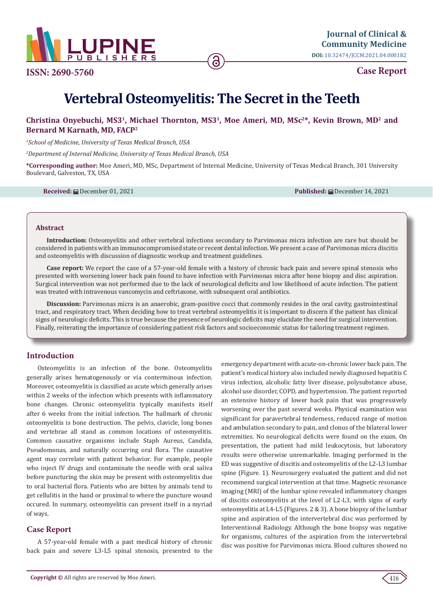

**Case Report**

# **Vertebral Osteomyelitis: The Secret in the Teeth**

## **Christina Onyebuchi, MS31, Michael Thornton, MS31, Moe Ameri, MD, MSc2\*, Kevin Brown, MD2 and Bernard M Karnath, MD, FACP2**

*1 School of Medicine, University of Texas Medical Branch, USA*

*2 Department of Internal Medicine, University of Texas Medical Branch, USA*

**\*Corresponding author:** Moe Ameri, MD, MSc, Department of Internal Medicine, University of Texas Medical Branch, 301 University Boulevard, Galveston, TX, USA

**Received:** December 01, 2021 **Published:** December 14, 2021

#### **Abstract**

**Introduction:** Osteomyelitis and other vertebral infections secondary to Parvimonas micra infection are rare but should be considered in patients with an immunocompromised state or recent dental infection. We present a case of Parvimonas micra discitis and osteomyelitis with discussion of diagnostic workup and treatment guidelines.

**Case report:** We report the case of a 57-year-old female with a history of chronic back pain and severe spinal stenosis who presented with worsening lower back pain found to have infection with Parvimonas micra after bone biopsy and disc aspiration. Surgical intervention was not performed due to the lack of neurological deficits and low likelihood of acute infection. The patient was treated with intravenous vancomycin and ceftriaxone, with subsequent oral antibiotics.

**Discussion:** Parvimonas micra is an anaerobic, gram-positive cocci that commonly resides in the oral cavity, gastrointestinal tract, and respiratory tract. When deciding how to treat vertebral osteomyelitis it is important to discern if the patient has clinical signs of neurologic deficits. This is true because the presence of neurologic deficits may elucidate the need for surgical intervention. Finally, reiterating the importance of considering patient risk factors and socioeconomic status for tailoring treatment regimen.

#### **Introduction**

Osteomyelitis is an infection of the bone. Osteomyelitis generally arises hematogenously or via conterminous infection. Moreover, osteomyelitis is classified as acute which generally arises within 2 weeks of the infection which presents with inflammatory bone changes. Chronic osteomyelitis typically manifests itself after 6 weeks from the initial infection. The hallmark of chronic osteomyelitis is bone destruction. The pelvis, clavicle, long bones and vertebrae all stand as common locations of osteomyelitis. Common causative organisms include Staph Aureus, Candida, Pseudomonas, and naturally occurring oral flora. The causative agent may correlate with patient behavior. For example, people who inject IV drugs and contaminate the needle with oral saliva before puncturing the skin may be present with osteomyelitis due to oral bacterial flora. Patients who are bitten by animals tend to get cellulitis in the hand or proximal to where the puncture wound occured. In summary, osteomyelitis can present itself in a myriad of ways.

### **Case Report**

A 57-year-old female with a past medical history of chronic back pain and severe L3-L5 spinal stenosis, presented to the

emergency department with acute-on-chronic lower back pain. The patient's medical history also included newly diagnosed hepatitis C virus infection, alcoholic fatty liver disease, polysubstance abuse, alcohol use disorder, COPD, and hypertension. The patient reported an extensive history of lower back pain that was progressively worsening over the past several weeks. Physical examination was significant for paravertebral tenderness, reduced range of motion and ambulation secondary to pain, and clonus of the bilateral lower extremities. No neurological deficits were found on the exam. On presentation, the patient had mild leukocytosis, but laboratory results were otherwise unremarkable. Imaging performed in the ED was suggestive of discitis and osteomyelitis of the L2-L3 lumbar spine (Figure. 1). Neurosurgery evaluated the patient and did not recommend surgical intervention at that time. Magnetic resonance imaging (MRI) of the lumbar spine revealed inflammatory changes of discitis osteomyelitis at the level of L2-L3, with signs of early osteomyelitis at L4-L5 (Figures. 2 & 3). A bone biopsy of the lumbar spine and aspiration of the intervertebral disc was performed by Interventional Radiology. Although the bone biopsy was negative for organisms, cultures of the aspiration from the intervertebral disc was positive for Parvimonas micra. Blood cultures showed no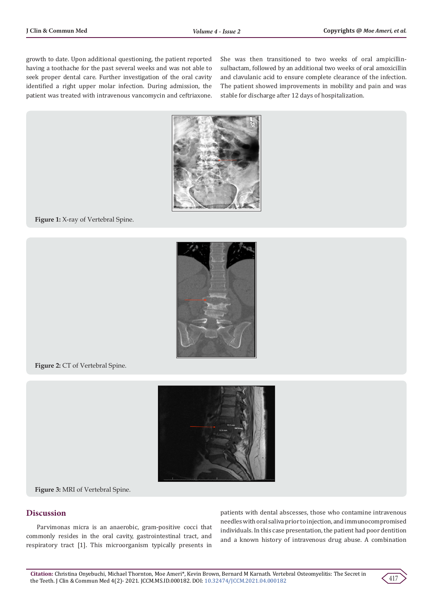growth to date. Upon additional questioning, the patient reported having a toothache for the past several weeks and was not able to seek proper dental care. Further investigation of the oral cavity identified a right upper molar infection. During admission, the patient was treated with intravenous vancomycin and ceftriaxone.

She was then transitioned to two weeks of oral ampicillinsulbactam, followed by an additional two weeks of oral amoxicillin and clavulanic acid to ensure complete clearance of the infection. The patient showed improvements in mobility and pain and was stable for discharge after 12 days of hospitalization.



**Figure 1:** X-ray of Vertebral Spine.



Figure 2: CT of Vertebral Spine.



**Figure 3:** MRI of Vertebral Spine.

## **Discussion**

Parvimonas micra is an anaerobic, gram-positive cocci that commonly resides in the oral cavity, gastrointestinal tract, and respiratory tract [1]. This microorganism typically presents in

patients with dental abscesses, those who contamine intravenous needles with oral saliva prior to injection, and immunocompromised individuals. In this case presentation, the patient had poor dentition and a known history of intravenous drug abuse. A combination